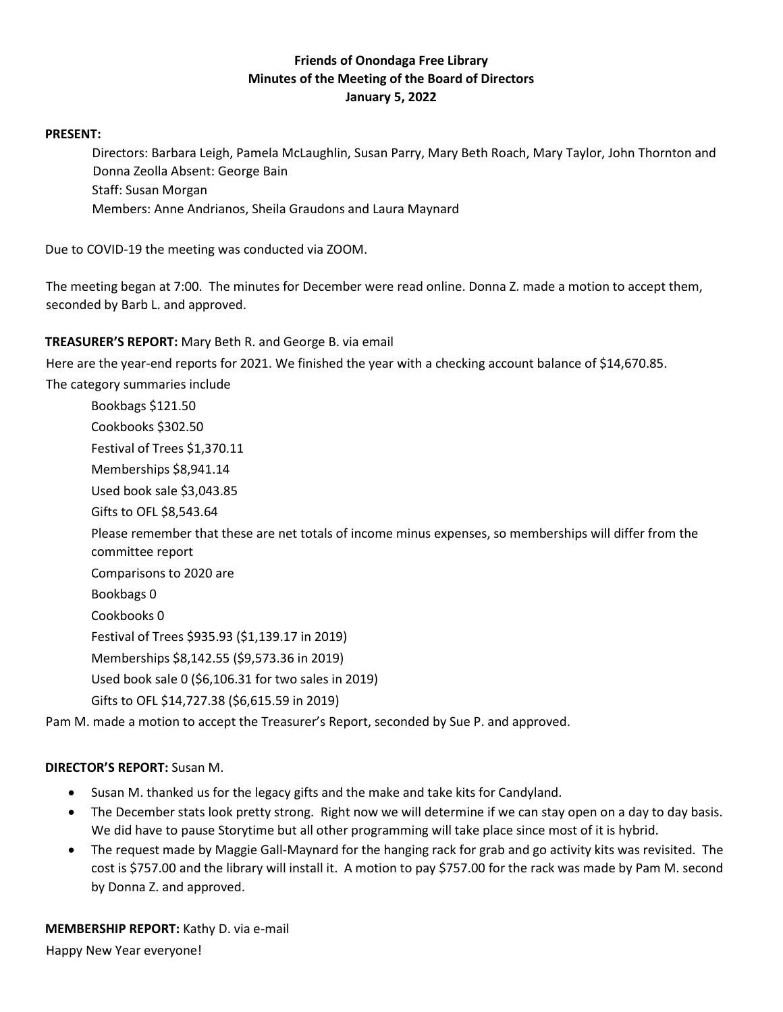# **Friends of Onondaga Free Library Minutes of the Meeting of the Board of Directors January 5, 2022**

#### **PRESENT:**

Directors: Barbara Leigh, Pamela McLaughlin, Susan Parry, Mary Beth Roach, Mary Taylor, John Thornton and Donna Zeolla Absent: George Bain Staff: Susan Morgan Members: Anne Andrianos, Sheila Graudons and Laura Maynard

Due to COVID-19 the meeting was conducted via ZOOM.

The meeting began at 7:00. The minutes for December were read online. Donna Z. made a motion to accept them, seconded by Barb L. and approved.

## **TREASURER'S REPORT:** Mary Beth R. and George B. via email

Here are the year-end reports for 2021. We finished the year with a checking account balance of \$14,670.85.

The category summaries include

Bookbags \$121.50 Cookbooks \$302.50 Festival of Trees \$1,370.11 Memberships \$8,941.14 Used book sale \$3,043.85 Gifts to OFL \$8,543.64 Please remember that these are net totals of income minus expenses, so memberships will differ from the committee report Comparisons to 2020 are Bookbags 0 Cookbooks 0 Festival of Trees \$935.93 (\$1,139.17 in 2019) Memberships \$8,142.55 (\$9,573.36 in 2019) Used book sale 0 (\$6,106.31 for two sales in 2019) Gifts to OFL \$14,727.38 (\$6,615.59 in 2019)

Pam M. made a motion to accept the Treasurer's Report, seconded by Sue P. and approved.

#### **DIRECTOR'S REPORT:** Susan M.

- Susan M. thanked us for the legacy gifts and the make and take kits for Candyland.
- The December stats look pretty strong. Right now we will determine if we can stay open on a day to day basis. We did have to pause Storytime but all other programming will take place since most of it is hybrid.
- The request made by Maggie Gall-Maynard for the hanging rack for grab and go activity kits was revisited. The cost is \$757.00 and the library will install it. A motion to pay \$757.00 for the rack was made by Pam M. second by Donna Z. and approved.

**MEMBERSHIP REPORT:** Kathy D. via e-mail Happy New Year everyone!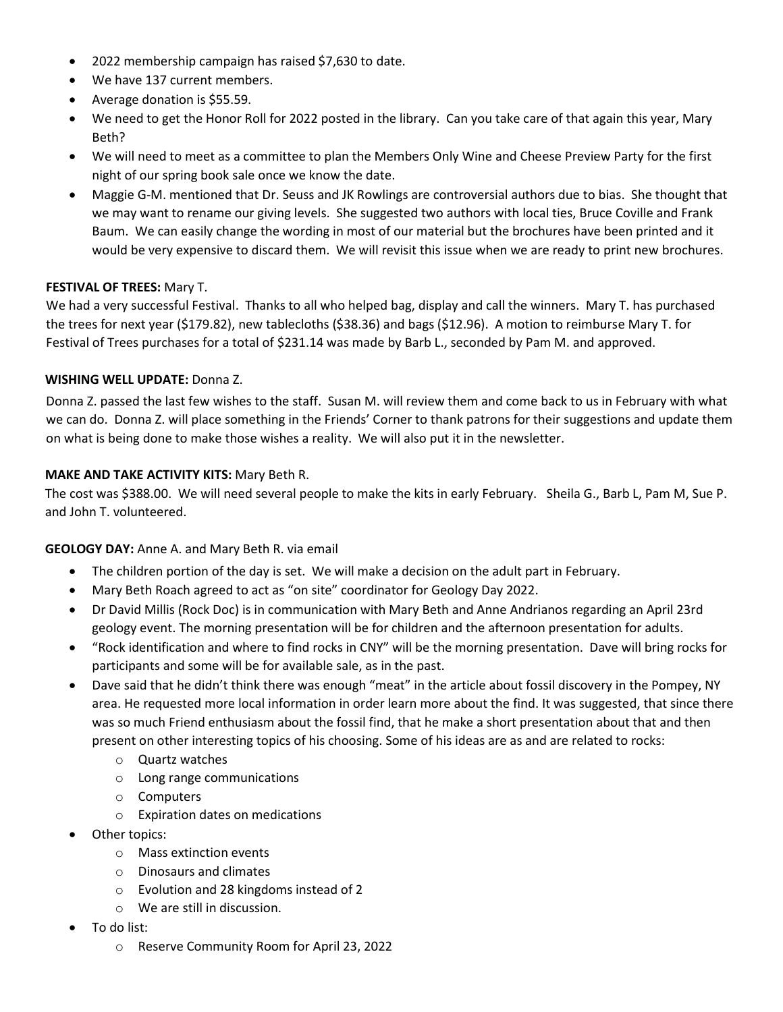- 2022 membership campaign has raised \$7,630 to date.
- We have 137 current members.
- Average donation is \$55.59.
- We need to get the Honor Roll for 2022 posted in the library. Can you take care of that again this year, Mary Beth?
- We will need to meet as a committee to plan the Members Only Wine and Cheese Preview Party for the first night of our spring book sale once we know the date.
- Maggie G-M. mentioned that Dr. Seuss and JK Rowlings are controversial authors due to bias. She thought that we may want to rename our giving levels. She suggested two authors with local ties, Bruce Coville and Frank Baum. We can easily change the wording in most of our material but the brochures have been printed and it would be very expensive to discard them. We will revisit this issue when we are ready to print new brochures.

## **FESTIVAL OF TREES:** Mary T.

We had a very successful Festival. Thanks to all who helped bag, display and call the winners. Mary T. has purchased the trees for next year (\$179.82), new tablecloths (\$38.36) and bags (\$12.96). A motion to reimburse Mary T. for Festival of Trees purchases for a total of \$231.14 was made by Barb L., seconded by Pam M. and approved.

## **WISHING WELL UPDATE:** Donna Z.

Donna Z. passed the last few wishes to the staff. Susan M. will review them and come back to us in February with what we can do. Donna Z. will place something in the Friends' Corner to thank patrons for their suggestions and update them on what is being done to make those wishes a reality. We will also put it in the newsletter.

## **MAKE AND TAKE ACTIVITY KITS:** Mary Beth R.

The cost was \$388.00. We will need several people to make the kits in early February. Sheila G., Barb L, Pam M, Sue P. and John T. volunteered.

#### **GEOLOGY DAY:** Anne A. and Mary Beth R. via email

- The children portion of the day is set. We will make a decision on the adult part in February.
- Mary Beth Roach agreed to act as "on site" coordinator for Geology Day 2022.
- Dr David Millis (Rock Doc) is in communication with Mary Beth and Anne Andrianos regarding an April 23rd geology event. The morning presentation will be for children and the afternoon presentation for adults.
- "Rock identification and where to find rocks in CNY" will be the morning presentation. Dave will bring rocks for participants and some will be for available sale, as in the past.
- Dave said that he didn't think there was enough "meat" in the article about fossil discovery in the Pompey, NY area. He requested more local information in order learn more about the find. It was suggested, that since there was so much Friend enthusiasm about the fossil find, that he make a short presentation about that and then present on other interesting topics of his choosing. Some of his ideas are as and are related to rocks:
	- o Quartz watches
	- o Long range communications
	- o Computers
	- o Expiration dates on medications
- Other topics:
	- o Mass extinction events
	- o Dinosaurs and climates
	- o Evolution and 28 kingdoms instead of 2
	- o We are still in discussion.
- To do list:
	- o Reserve Community Room for April 23, 2022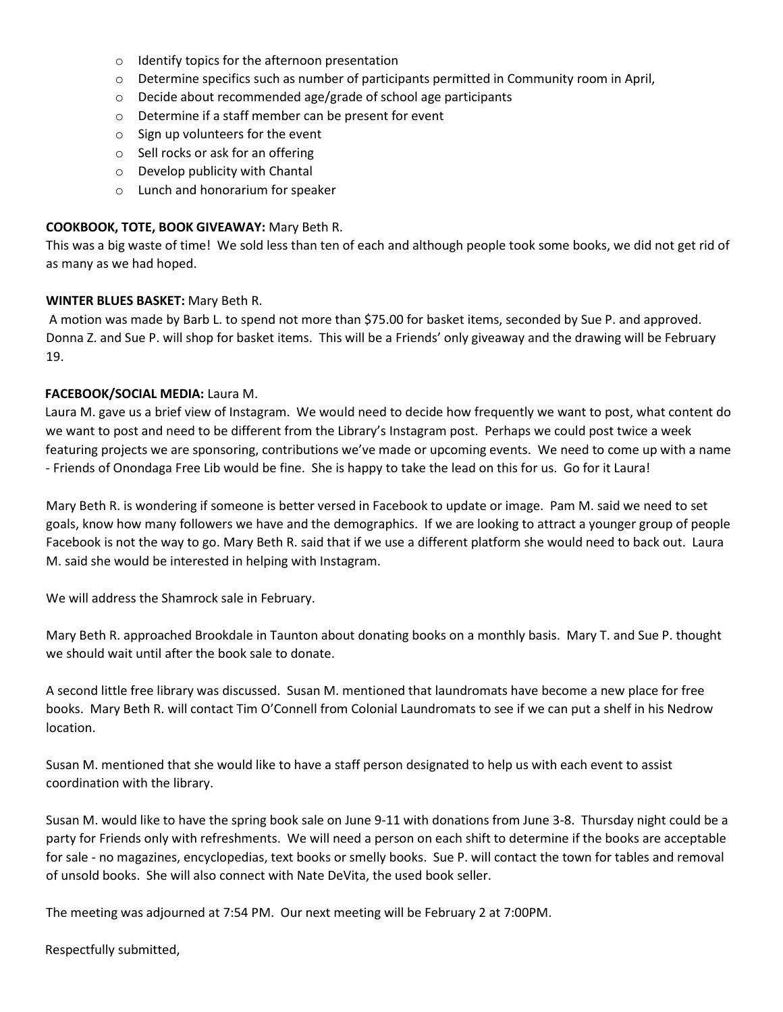- o Identify topics for the afternoon presentation
- $\circ$  Determine specifics such as number of participants permitted in Community room in April,
- o Decide about recommended age/grade of school age participants
- o Determine if a staff member can be present for event
- $\circ$  Sign up volunteers for the event
- o Sell rocks or ask for an offering
- $\circ$  Develop publicity with Chantal
- o Lunch and honorarium for speaker

#### **COOKBOOK, TOTE, BOOK GIVEAWAY:** Mary Beth R.

This was a big waste of time! We sold less than ten of each and although people took some books, we did not get rid of as many as we had hoped.

#### **WINTER BLUES BASKET:** Mary Beth R.

A motion was made by Barb L. to spend not more than \$75.00 for basket items, seconded by Sue P. and approved. Donna Z. and Sue P. will shop for basket items. This will be a Friends' only giveaway and the drawing will be February 19.

## **FACEBOOK/SOCIAL MEDIA:** Laura M.

Laura M. gave us a brief view of Instagram. We would need to decide how frequently we want to post, what content do we want to post and need to be different from the Library's Instagram post. Perhaps we could post twice a week featuring projects we are sponsoring, contributions we've made or upcoming events. We need to come up with a name - Friends of Onondaga Free Lib would be fine. She is happy to take the lead on this for us. Go for it Laura!

Mary Beth R. is wondering if someone is better versed in Facebook to update or image. Pam M. said we need to set goals, know how many followers we have and the demographics. If we are looking to attract a younger group of people Facebook is not the way to go. Mary Beth R. said that if we use a different platform she would need to back out. Laura M. said she would be interested in helping with Instagram.

We will address the Shamrock sale in February.

Mary Beth R. approached Brookdale in Taunton about donating books on a monthly basis. Mary T. and Sue P. thought we should wait until after the book sale to donate.

A second little free library was discussed. Susan M. mentioned that laundromats have become a new place for free books. Mary Beth R. will contact Tim O'Connell from Colonial Laundromats to see if we can put a shelf in his Nedrow location.

Susan M. mentioned that she would like to have a staff person designated to help us with each event to assist coordination with the library.

Susan M. would like to have the spring book sale on June 9-11 with donations from June 3-8. Thursday night could be a party for Friends only with refreshments. We will need a person on each shift to determine if the books are acceptable for sale - no magazines, encyclopedias, text books or smelly books. Sue P. will contact the town for tables and removal of unsold books. She will also connect with Nate DeVita, the used book seller.

The meeting was adjourned at 7:54 PM. Our next meeting will be February 2 at 7:00PM.

Respectfully submitted,